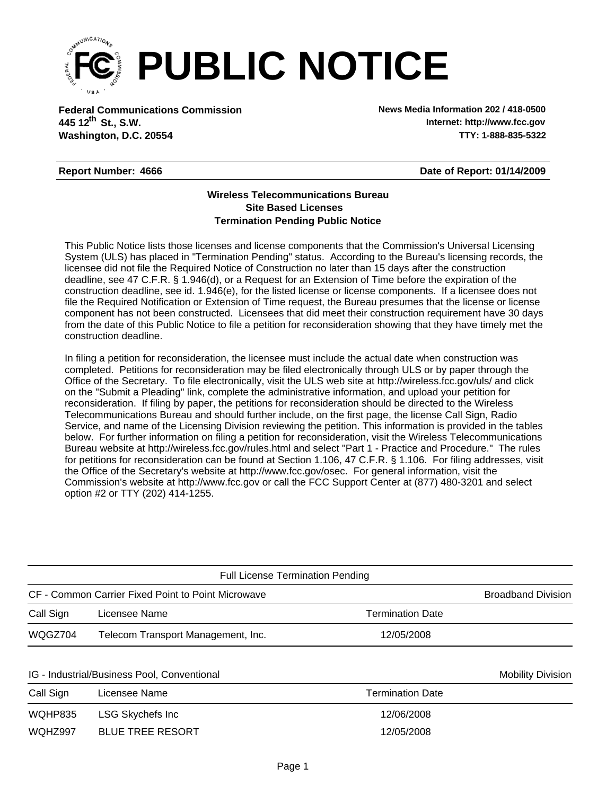

**Federal Communications Commission News Media Information 202 / 418-0500 Washington, D.C. 20554 TTY: 1-888-835-5322 445 12<sup>th</sup> St., S.W.** 

**Internet: http://www.fcc.gov**

## **Report Number: 4666**

**Date of Report: 01/14/2009**

## **Wireless Telecommunications Bureau Site Based Licenses Termination Pending Public Notice**

This Public Notice lists those licenses and license components that the Commission's Universal Licensing System (ULS) has placed in "Termination Pending" status. According to the Bureau's licensing records, the licensee did not file the Required Notice of Construction no later than 15 days after the construction deadline, see 47 C.F.R. § 1.946(d), or a Request for an Extension of Time before the expiration of the construction deadline, see id. 1.946(e), for the listed license or license components. If a licensee does not file the Required Notification or Extension of Time request, the Bureau presumes that the license or license component has not been constructed. Licensees that did meet their construction requirement have 30 days from the date of this Public Notice to file a petition for reconsideration showing that they have timely met the construction deadline.

In filing a petition for reconsideration, the licensee must include the actual date when construction was completed. Petitions for reconsideration may be filed electronically through ULS or by paper through the Office of the Secretary. To file electronically, visit the ULS web site at http://wireless.fcc.gov/uls/ and click on the "Submit a Pleading" link, complete the administrative information, and upload your petition for reconsideration. If filing by paper, the petitions for reconsideration should be directed to the Wireless Telecommunications Bureau and should further include, on the first page, the license Call Sign, Radio Service, and name of the Licensing Division reviewing the petition. This information is provided in the tables below. For further information on filing a petition for reconsideration, visit the Wireless Telecommunications Bureau website at http://wireless.fcc.gov/rules.html and select "Part 1 - Practice and Procedure." The rules for petitions for reconsideration can be found at Section 1.106, 47 C.F.R. § 1.106. For filing addresses, visit the Office of the Secretary's website at http://www.fcc.gov/osec. For general information, visit the Commission's website at http://www.fcc.gov or call the FCC Support Center at (877) 480-3201 and select option #2 or TTY (202) 414-1255.

| <b>Full License Termination Pending</b>            |                                             |                         |                          |  |  |  |
|----------------------------------------------------|---------------------------------------------|-------------------------|--------------------------|--|--|--|
| CF - Common Carrier Fixed Point to Point Microwave | <b>Broadband Division</b>                   |                         |                          |  |  |  |
| Call Sign                                          | Licensee Name                               | <b>Termination Date</b> |                          |  |  |  |
| WQGZ704                                            | Telecom Transport Management, Inc.          | 12/05/2008              |                          |  |  |  |
|                                                    | IG - Industrial/Business Pool, Conventional |                         | <b>Mobility Division</b> |  |  |  |
| Call Sign                                          | Licensee Name                               | <b>Termination Date</b> |                          |  |  |  |
| WQHP835                                            | LSG Skychefs Inc                            | 12/06/2008              |                          |  |  |  |

WQHZ997 BLUE TREE RESORT 12/05/2008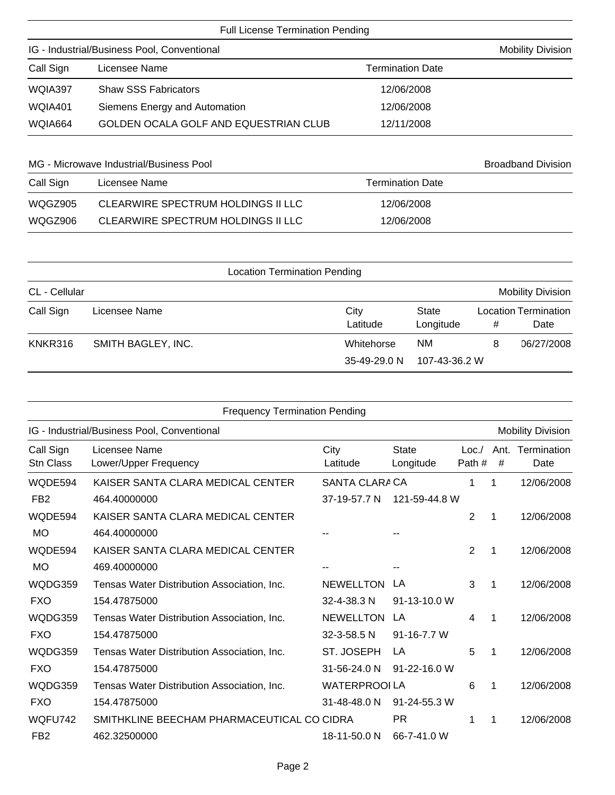| <b>Full License Termination Pending</b>     |                                       |                         |  |  |  |  |
|---------------------------------------------|---------------------------------------|-------------------------|--|--|--|--|
| IG - Industrial/Business Pool, Conventional | <b>Mobility Division</b>              |                         |  |  |  |  |
| Call Sign<br>Licensee Name                  |                                       | <b>Termination Date</b> |  |  |  |  |
| WQIA397                                     | <b>Shaw SSS Fabricators</b>           | 12/06/2008              |  |  |  |  |
| WQIA401                                     | Siemens Energy and Automation         | 12/06/2008              |  |  |  |  |
| WQIA664                                     | GOLDEN OCALA GOLF AND EQUESTRIAN CLUB | 12/11/2008              |  |  |  |  |

| MG - Microwave Industrial/Business Pool |                                    |                  | <b>Broadband Division</b> |
|-----------------------------------------|------------------------------------|------------------|---------------------------|
| Call Sign<br>Licensee Name              |                                    | Termination Date |                           |
| WQGZ905                                 | CLEARWIRE SPECTRUM HOLDINGS II LLC | 12/06/2008       |                           |
| WQGZ906                                 | CLEARWIRE SPECTRUM HOLDINGS II LLC | 12/06/2008       |                           |

| <b>Location Termination Pending</b> |                    |                            |                            |   |                                     |  |
|-------------------------------------|--------------------|----------------------------|----------------------------|---|-------------------------------------|--|
| CL - Cellular                       |                    |                            |                            |   | <b>Mobility Division</b>            |  |
| Call Sign                           | Licensee Name      | City<br>Latitude           | <b>State</b><br>Longitude  | # | <b>Location Termination</b><br>Date |  |
| KNKR316                             | SMITH BAGLEY, INC. | Whitehorse<br>35-49-29.0 N | <b>NM</b><br>107-43-36.2 W | 8 | 06/27/2008                          |  |

| <b>Frequency Termination Pending</b>        |                  |                                            |                                       |                        |                          |  |
|---------------------------------------------|------------------|--------------------------------------------|---------------------------------------|------------------------|--------------------------|--|
| IG - Industrial/Business Pool, Conventional |                  |                                            |                                       |                        | <b>Mobility Division</b> |  |
| Licensee Name<br>Lower/Upper Frequency      | City<br>Latitude | <b>State</b><br>Longitude                  | Loc.                                  | Ant.<br>#              | Termination<br>Date      |  |
| KAISER SANTA CLARA MEDICAL CENTER           |                  |                                            | 1                                     | 1                      | 12/06/2008               |  |
| 464.40000000                                | 37-19-57.7 N     |                                            |                                       |                        |                          |  |
| KAISER SANTA CLARA MEDICAL CENTER           |                  |                                            | 2                                     | 1                      | 12/06/2008               |  |
| 464.40000000                                |                  |                                            |                                       |                        |                          |  |
| KAISER SANTA CLARA MEDICAL CENTER           |                  |                                            | 2                                     | -1                     | 12/06/2008               |  |
| 469.40000000                                |                  |                                            |                                       |                        |                          |  |
| Tensas Water Distribution Association, Inc. | <b>NEWELLTON</b> | LA                                         | 3                                     | 1                      | 12/06/2008               |  |
| 154.47875000                                | 32-4-38.3 N      | 91-13-10.0 W                               |                                       |                        |                          |  |
| Tensas Water Distribution Association, Inc. | <b>NEWELLTON</b> | LA                                         | 4                                     | 1                      | 12/06/2008               |  |
| 154.47875000                                | 32-3-58.5 N      | $91 - 16 - 7.7$ W                          |                                       |                        |                          |  |
| Tensas Water Distribution Association, Inc. | ST. JOSEPH       | LA                                         | 5                                     | 1                      | 12/06/2008               |  |
| 154.47875000                                | 31-56-24.0 N     | 91-22-16.0 W                               |                                       |                        |                          |  |
| Tensas Water Distribution Association, Inc. |                  |                                            | 6                                     | 1                      | 12/06/2008               |  |
| 154.47875000                                | 31-48-48.0 N     | 91-24-55.3 W                               |                                       |                        |                          |  |
|                                             |                  | <b>PR</b>                                  | 1                                     | 1                      | 12/06/2008               |  |
| 462.32500000                                | 18-11-50.0 N     | 66-7-41.0 W                                |                                       |                        |                          |  |
|                                             |                  | SMITHKLINE BEECHAM PHARMACEUTICAL CO CIDRA | SANTA CLARA CA<br><b>WATERPROOLLA</b> | Path#<br>121-59-44.8 W |                          |  |